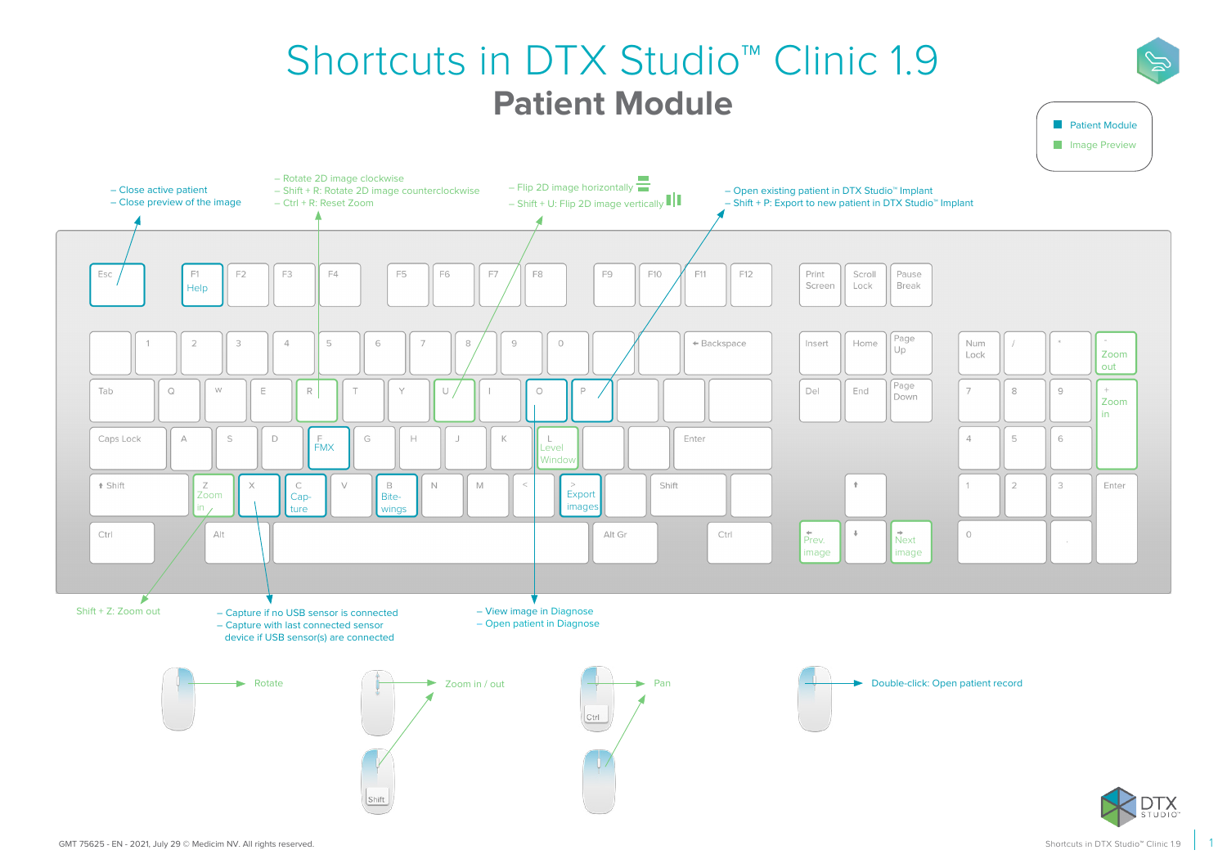## Shortcuts in DTX Studio™ Clinic 1.9 **Patient Module**



**Patient Module**